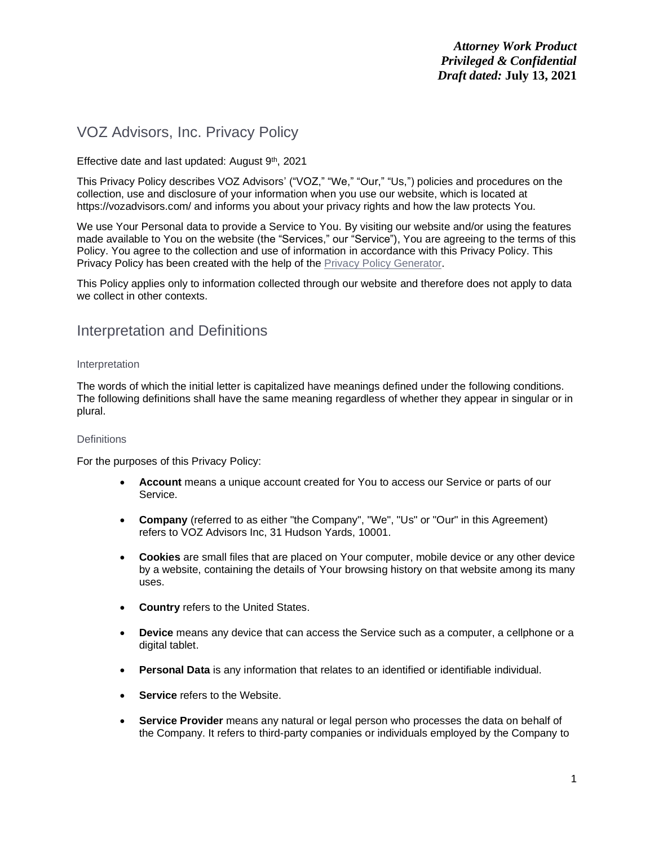# VOZ Advisors, Inc. Privacy Policy

# Effective date and last updated: August  $9<sup>th</sup>$ , 2021

This Privacy Policy describes VOZ Advisors' ("VOZ," "We," "Our," "Us,") policies and procedures on the collection, use and disclosure of your information when you use our website, which is located at https://vozadvisors.com/ and informs you about your privacy rights and how the law protects You.

We use Your Personal data to provide a Service to You. By visiting our website and/or using the features made available to You on the website (the "Services," our "Service"), You are agreeing to the terms of this Policy. You agree to the collection and use of information in accordance with this Privacy Policy. This Privacy Policy has been created with the help of the [Privacy Policy Generator.](https://www.privacypolicies.com/privacy-policy-generator/)

This Policy applies only to information collected through our website and therefore does not apply to data we collect in other contexts.

# Interpretation and Definitions

#### Interpretation

The words of which the initial letter is capitalized have meanings defined under the following conditions. The following definitions shall have the same meaning regardless of whether they appear in singular or in plural.

## **Definitions**

For the purposes of this Privacy Policy:

- **Account** means a unique account created for You to access our Service or parts of our Service.
- **Company** (referred to as either "the Company", "We", "Us" or "Our" in this Agreement) refers to VOZ Advisors Inc, 31 Hudson Yards, 10001.
- **Cookies** are small files that are placed on Your computer, mobile device or any other device by a website, containing the details of Your browsing history on that website among its many uses.
- **Country** refers to the United States.
- **Device** means any device that can access the Service such as a computer, a cellphone or a digital tablet.
- **Personal Data** is any information that relates to an identified or identifiable individual.
- **Service** refers to the Website.
- **Service Provider** means any natural or legal person who processes the data on behalf of the Company. It refers to third-party companies or individuals employed by the Company to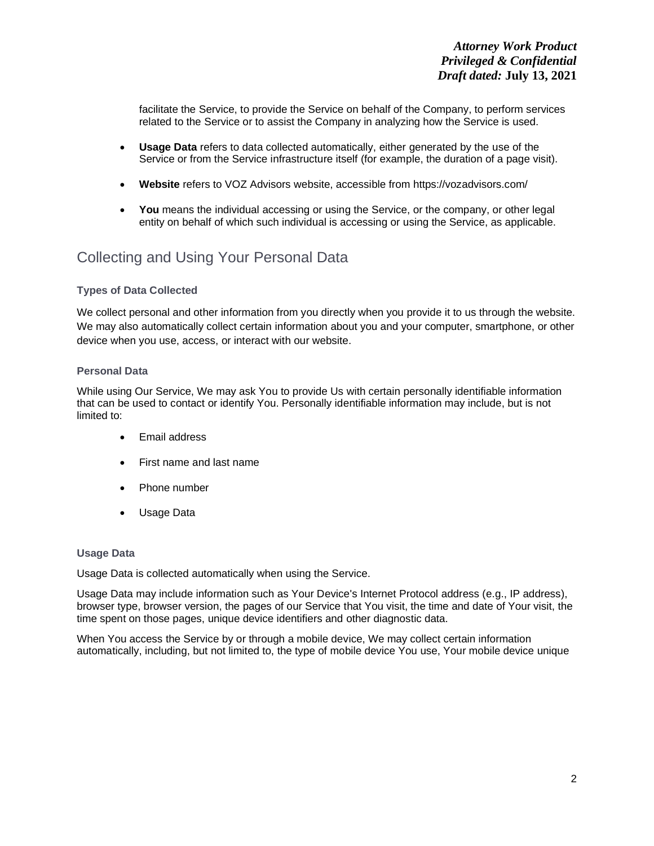facilitate the Service, to provide the Service on behalf of the Company, to perform services related to the Service or to assist the Company in analyzing how the Service is used.

- **Usage Data** refers to data collected automatically, either generated by the use of the Service or from the Service infrastructure itself (for example, the duration of a page visit).
- **Website** refers to VOZ Advisors website, accessible from <https://vozadvisors.com/>
- **You** means the individual accessing or using the Service, or the company, or other legal entity on behalf of which such individual is accessing or using the Service, as applicable.

# Collecting and Using Your Personal Data

## **Types of Data Collected**

We collect personal and other information from you directly when you provide it to us through the website. We may also automatically collect certain information about you and your computer, smartphone, or other device when you use, access, or interact with our website.

## **Personal Data**

While using Our Service, We may ask You to provide Us with certain personally identifiable information that can be used to contact or identify You. Personally identifiable information may include, but is not limited to:

- Email address
- First name and last name
- Phone number
- Usage Data

## **Usage Data**

Usage Data is collected automatically when using the Service.

Usage Data may include information such as Your Device's Internet Protocol address (e.g., IP address), browser type, browser version, the pages of our Service that You visit, the time and date of Your visit, the time spent on those pages, unique device identifiers and other diagnostic data.

When You access the Service by or through a mobile device, We may collect certain information automatically, including, but not limited to, the type of mobile device You use, Your mobile device unique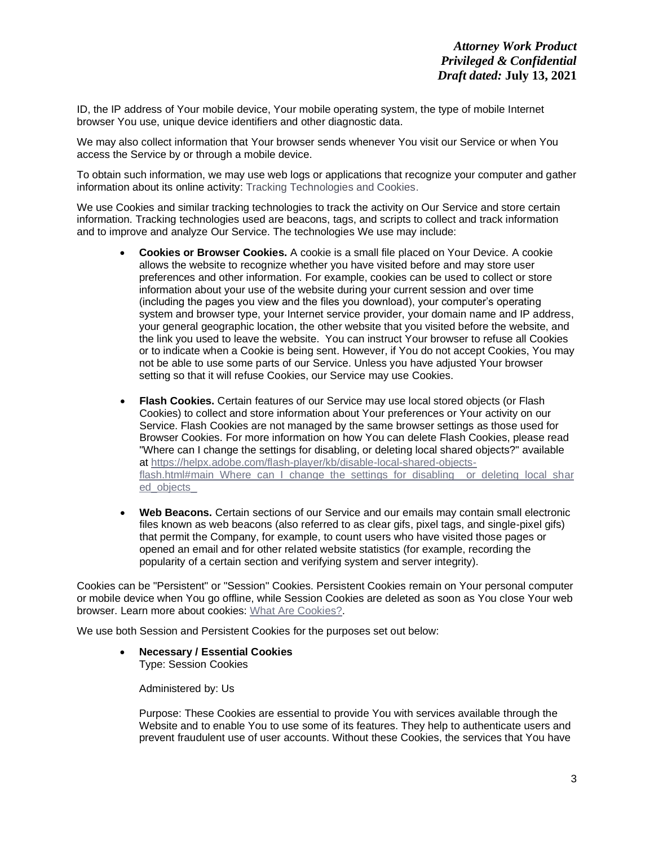ID, the IP address of Your mobile device, Your mobile operating system, the type of mobile Internet browser You use, unique device identifiers and other diagnostic data.

We may also collect information that Your browser sends whenever You visit our Service or when You access the Service by or through a mobile device.

To obtain such information, we may use web logs or applications that recognize your computer and gather information about its online activity: Tracking Technologies and Cookies.

We use Cookies and similar tracking technologies to track the activity on Our Service and store certain information. Tracking technologies used are beacons, tags, and scripts to collect and track information and to improve and analyze Our Service. The technologies We use may include:

- **Cookies or Browser Cookies.** A cookie is a small file placed on Your Device. A cookie allows the website to recognize whether you have visited before and may store user preferences and other information. For example, cookies can be used to collect or store information about your use of the website during your current session and over time (including the pages you view and the files you download), your computer's operating system and browser type, your Internet service provider, your domain name and IP address, your general geographic location, the other website that you visited before the website, and the link you used to leave the website. You can instruct Your browser to refuse all Cookies or to indicate when a Cookie is being sent. However, if You do not accept Cookies, You may not be able to use some parts of our Service. Unless you have adjusted Your browser setting so that it will refuse Cookies, our Service may use Cookies.
- **Flash Cookies.** Certain features of our Service may use local stored objects (or Flash Cookies) to collect and store information about Your preferences or Your activity on our Service. Flash Cookies are not managed by the same browser settings as those used for Browser Cookies. For more information on how You can delete Flash Cookies, please read "Where can I change the settings for disabling, or deleting local shared objects?" available at [https://helpx.adobe.com/flash-player/kb/disable-local-shared-objects](https://helpx.adobe.com/flash-player/kb/disable-local-shared-objects-flash.html#main_Where_can_I_change_the_settings_for_disabling__or_deleting_local_shared_objects_)[flash.html#main\\_Where\\_can\\_I\\_change\\_the\\_settings\\_for\\_disabling\\_\\_or\\_deleting\\_local\\_shar](https://helpx.adobe.com/flash-player/kb/disable-local-shared-objects-flash.html#main_Where_can_I_change_the_settings_for_disabling__or_deleting_local_shared_objects_) [ed\\_objects\\_](https://helpx.adobe.com/flash-player/kb/disable-local-shared-objects-flash.html#main_Where_can_I_change_the_settings_for_disabling__or_deleting_local_shared_objects_)
- **Web Beacons.** Certain sections of our Service and our emails may contain small electronic files known as web beacons (also referred to as clear gifs, pixel tags, and single-pixel gifs) that permit the Company, for example, to count users who have visited those pages or opened an email and for other related website statistics (for example, recording the popularity of a certain section and verifying system and server integrity).

Cookies can be "Persistent" or "Session" Cookies. Persistent Cookies remain on Your personal computer or mobile device when You go offline, while Session Cookies are deleted as soon as You close Your web browser. Learn more about cookies: [What Are Cookies?.](https://www.privacypolicies.com/blog/cookies/)

We use both Session and Persistent Cookies for the purposes set out below:

• **Necessary / Essential Cookies** Type: Session Cookies

Administered by: Us

Purpose: These Cookies are essential to provide You with services available through the Website and to enable You to use some of its features. They help to authenticate users and prevent fraudulent use of user accounts. Without these Cookies, the services that You have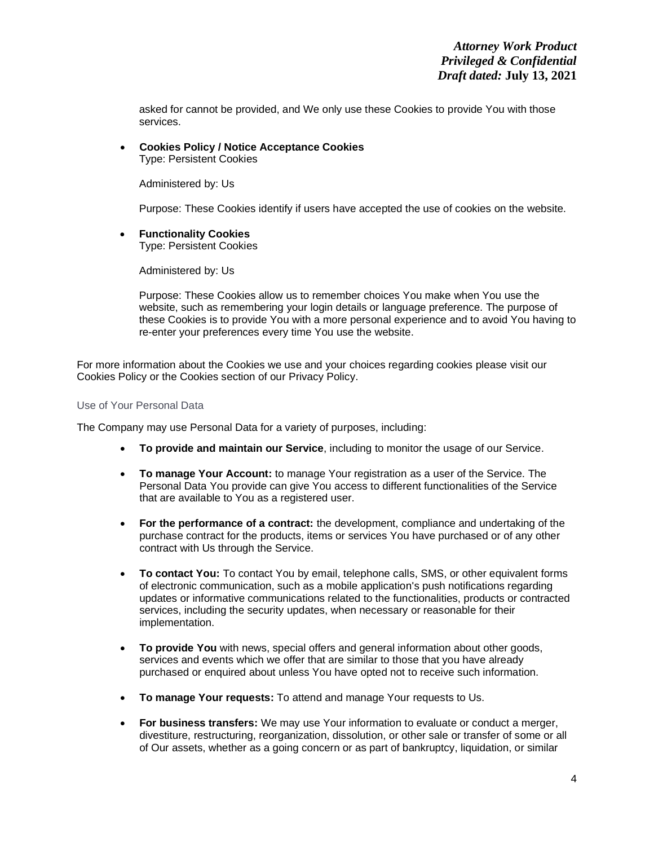asked for cannot be provided, and We only use these Cookies to provide You with those services.

• **Cookies Policy / Notice Acceptance Cookies** Type: Persistent Cookies

Administered by: Us

Purpose: These Cookies identify if users have accepted the use of cookies on the website.

• **Functionality Cookies**

Type: Persistent Cookies

Administered by: Us

Purpose: These Cookies allow us to remember choices You make when You use the website, such as remembering your login details or language preference. The purpose of these Cookies is to provide You with a more personal experience and to avoid You having to re-enter your preferences every time You use the website.

For more information about the Cookies we use and your choices regarding cookies please visit our Cookies Policy or the Cookies section of our Privacy Policy.

### Use of Your Personal Data

The Company may use Personal Data for a variety of purposes, including:

- **To provide and maintain our Service**, including to monitor the usage of our Service.
- **To manage Your Account:** to manage Your registration as a user of the Service. The Personal Data You provide can give You access to different functionalities of the Service that are available to You as a registered user.
- **For the performance of a contract:** the development, compliance and undertaking of the purchase contract for the products, items or services You have purchased or of any other contract with Us through the Service.
- **To contact You:** To contact You by email, telephone calls, SMS, or other equivalent forms of electronic communication, such as a mobile application's push notifications regarding updates or informative communications related to the functionalities, products or contracted services, including the security updates, when necessary or reasonable for their implementation.
- **To provide You** with news, special offers and general information about other goods, services and events which we offer that are similar to those that you have already purchased or enquired about unless You have opted not to receive such information.
- **To manage Your requests:** To attend and manage Your requests to Us.
- **For business transfers:** We may use Your information to evaluate or conduct a merger, divestiture, restructuring, reorganization, dissolution, or other sale or transfer of some or all of Our assets, whether as a going concern or as part of bankruptcy, liquidation, or similar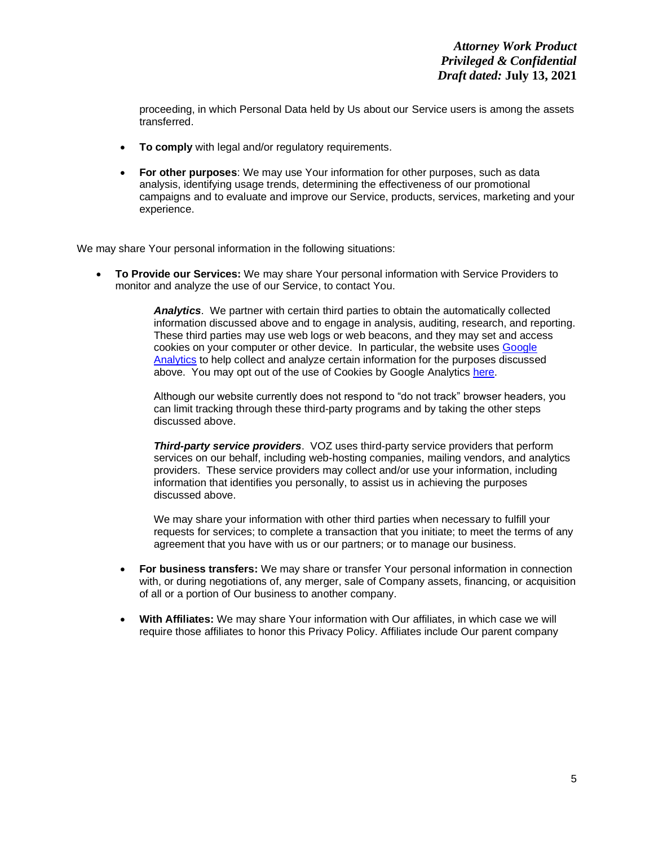proceeding, in which Personal Data held by Us about our Service users is among the assets transferred.

- **To comply** with legal and/or regulatory requirements.
- **For other purposes**: We may use Your information for other purposes, such as data analysis, identifying usage trends, determining the effectiveness of our promotional campaigns and to evaluate and improve our Service, products, services, marketing and your experience.

We may share Your personal information in the following situations:

• **To Provide our Services:** We may share Your personal information with Service Providers to monitor and analyze the use of our Service, to contact You.

> *Analytics*. We partner with certain third parties to obtain the automatically collected information discussed above and to engage in analysis, auditing, research, and reporting. These third parties may use web logs or web beacons, and they may set and access cookies on your computer or other device. In particular, the website uses [Google](https://support.google.com/analytics/answer/6004245)  [Analytics](https://support.google.com/analytics/answer/6004245) to help collect and analyze certain information for the purposes discussed above. You may opt out of the use of Cookies by Google Analytics [here.](https://tools.google.com/dlpage/gaoptout)

Although our website currently does not respond to "do not track" browser headers, you can limit tracking through these third-party programs and by taking the other steps discussed above.

*Third-party service providers*. VOZ uses third-party service providers that perform services on our behalf, including web-hosting companies, mailing vendors, and analytics providers. These service providers may collect and/or use your information, including information that identifies you personally, to assist us in achieving the purposes discussed above.

We may share your information with other third parties when necessary to fulfill your requests for services; to complete a transaction that you initiate; to meet the terms of any agreement that you have with us or our partners; or to manage our business.

- **For business transfers:** We may share or transfer Your personal information in connection with, or during negotiations of, any merger, sale of Company assets, financing, or acquisition of all or a portion of Our business to another company.
- **With Affiliates:** We may share Your information with Our affiliates, in which case we will require those affiliates to honor this Privacy Policy. Affiliates include Our parent company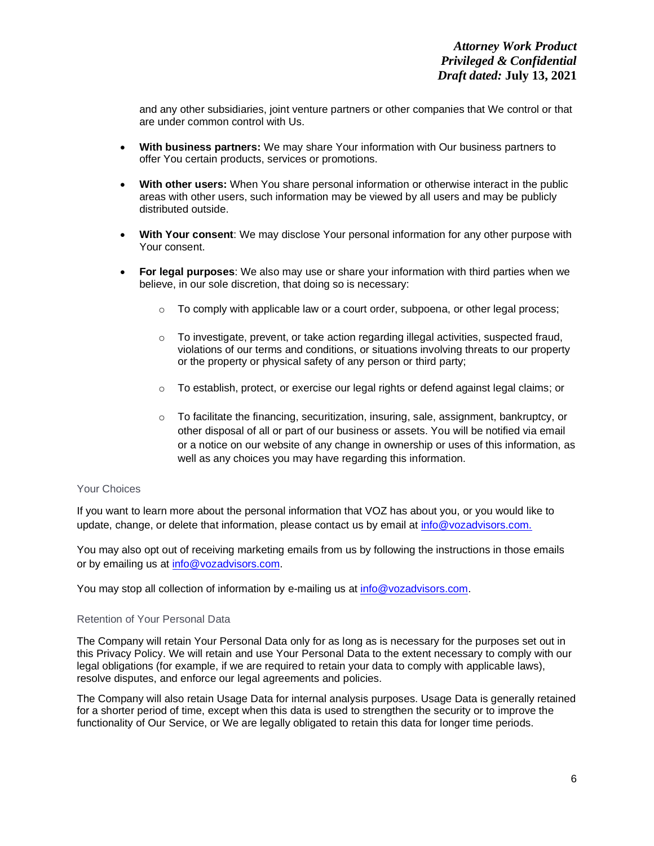and any other subsidiaries, joint venture partners or other companies that We control or that are under common control with Us.

- **With business partners:** We may share Your information with Our business partners to offer You certain products, services or promotions.
- **With other users:** When You share personal information or otherwise interact in the public areas with other users, such information may be viewed by all users and may be publicly distributed outside.
- **With Your consent**: We may disclose Your personal information for any other purpose with Your consent.
- **For legal purposes**: We also may use or share your information with third parties when we believe, in our sole discretion, that doing so is necessary:
	- $\circ$  To comply with applicable law or a court order, subpoena, or other legal process;
	- $\circ$  To investigate, prevent, or take action regarding illegal activities, suspected fraud, violations of our terms and conditions, or situations involving threats to our property or the property or physical safety of any person or third party;
	- o To establish, protect, or exercise our legal rights or defend against legal claims; or
	- $\circ$  To facilitate the financing, securitization, insuring, sale, assignment, bankruptcy, or other disposal of all or part of our business or assets. You will be notified via email or a notice on our website of any change in ownership or uses of this information, as well as any choices you may have regarding this information.

## Your Choices

If you want to learn more about the personal information that VOZ has about you, or you would like to update, change, or delete that information, please contact us by email at [info@vozadvisors.com.](mailto:info@vozadvisors.com)

You may also opt out of receiving marketing emails from us by following the instructions in those emails or by emailing us at [info@vozadvisors.com.](mailto:info@vozadvisors.com)

You may stop all collection of information by e-mailing us at [info@vozadvisors.com.](mailto:info@vozadvisors.com)

## Retention of Your Personal Data

The Company will retain Your Personal Data only for as long as is necessary for the purposes set out in this Privacy Policy. We will retain and use Your Personal Data to the extent necessary to comply with our legal obligations (for example, if we are required to retain your data to comply with applicable laws), resolve disputes, and enforce our legal agreements and policies.

The Company will also retain Usage Data for internal analysis purposes. Usage Data is generally retained for a shorter period of time, except when this data is used to strengthen the security or to improve the functionality of Our Service, or We are legally obligated to retain this data for longer time periods.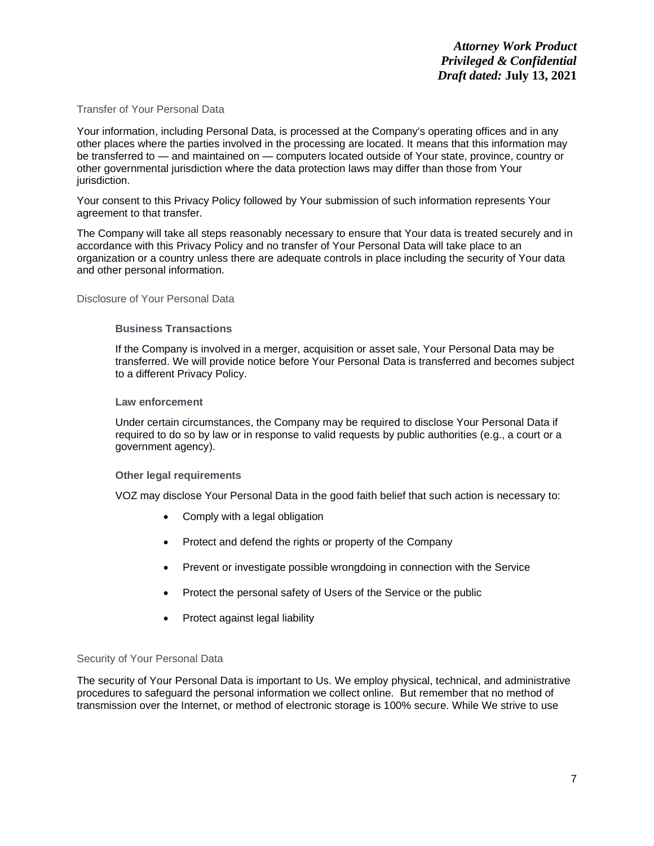## Transfer of Your Personal Data

Your information, including Personal Data, is processed at the Company's operating offices and in any other places where the parties involved in the processing are located. It means that this information may be transferred to — and maintained on — computers located outside of Your state, province, country or other governmental jurisdiction where the data protection laws may differ than those from Your jurisdiction.

Your consent to this Privacy Policy followed by Your submission of such information represents Your agreement to that transfer.

The Company will take all steps reasonably necessary to ensure that Your data is treated securely and in accordance with this Privacy Policy and no transfer of Your Personal Data will take place to an organization or a country unless there are adequate controls in place including the security of Your data and other personal information.

Disclosure of Your Personal Data

## **Business Transactions**

If the Company is involved in a merger, acquisition or asset sale, Your Personal Data may be transferred. We will provide notice before Your Personal Data is transferred and becomes subject to a different Privacy Policy.

#### **Law enforcement**

Under certain circumstances, the Company may be required to disclose Your Personal Data if required to do so by law or in response to valid requests by public authorities (e.g., a court or a government agency).

## **Other legal requirements**

VOZ may disclose Your Personal Data in the good faith belief that such action is necessary to:

- Comply with a legal obligation
- Protect and defend the rights or property of the Company
- Prevent or investigate possible wrongdoing in connection with the Service
- Protect the personal safety of Users of the Service or the public
- Protect against legal liability

## Security of Your Personal Data

The security of Your Personal Data is important to Us. We employ physical, technical, and administrative procedures to safeguard the personal information we collect online. But remember that no method of transmission over the Internet, or method of electronic storage is 100% secure. While We strive to use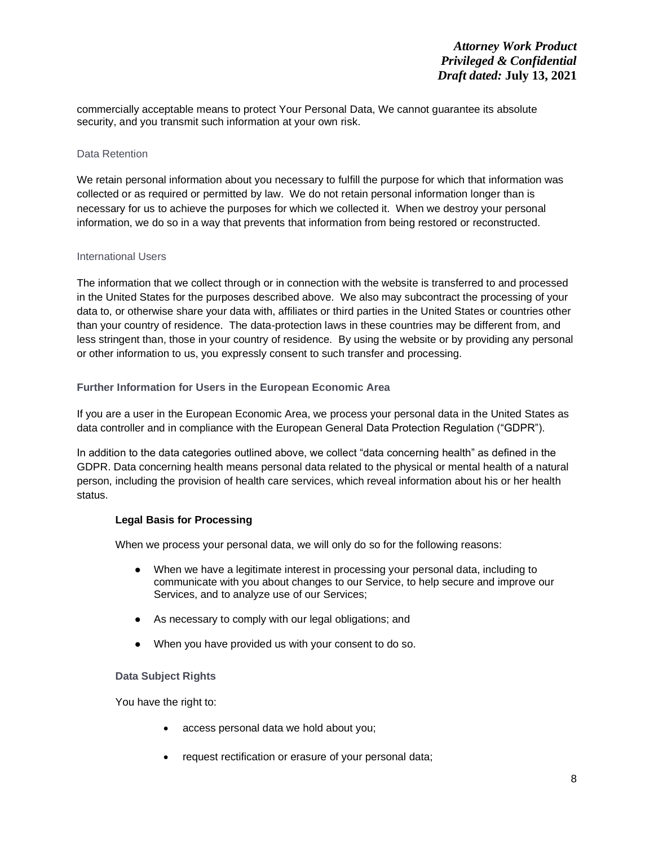commercially acceptable means to protect Your Personal Data, We cannot guarantee its absolute security, and you transmit such information at your own risk.

## Data Retention

We retain personal information about you necessary to fulfill the purpose for which that information was collected or as required or permitted by law. We do not retain personal information longer than is necessary for us to achieve the purposes for which we collected it. When we destroy your personal information, we do so in a way that prevents that information from being restored or reconstructed.

## International Users

The information that we collect through or in connection with the website is transferred to and processed in the United States for the purposes described above. We also may subcontract the processing of your data to, or otherwise share your data with, affiliates or third parties in the United States or countries other than your country of residence. The data-protection laws in these countries may be different from, and less stringent than, those in your country of residence. By using the website or by providing any personal or other information to us, you expressly consent to such transfer and processing.

# **Further Information for Users in the European Economic Area**

If you are a user in the European Economic Area, we process your personal data in the United States as data controller and in compliance with the European General Data Protection Regulation ("GDPR").

In addition to the data categories outlined above, we collect "data concerning health" as defined in the GDPR. Data concerning health means personal data related to the physical or mental health of a natural person, including the provision of health care services, which reveal information about his or her health status.

# **Legal Basis for Processing**

When we process your personal data, we will only do so for the following reasons:

- When we have a legitimate interest in processing your personal data, including to communicate with you about changes to our Service, to help secure and improve our Services, and to analyze use of our Services;
- As necessary to comply with our legal obligations; and
- When you have provided us with your consent to do so.

## **Data Subject Rights**

You have the right to:

- access personal data we hold about you;
- request rectification or erasure of your personal data;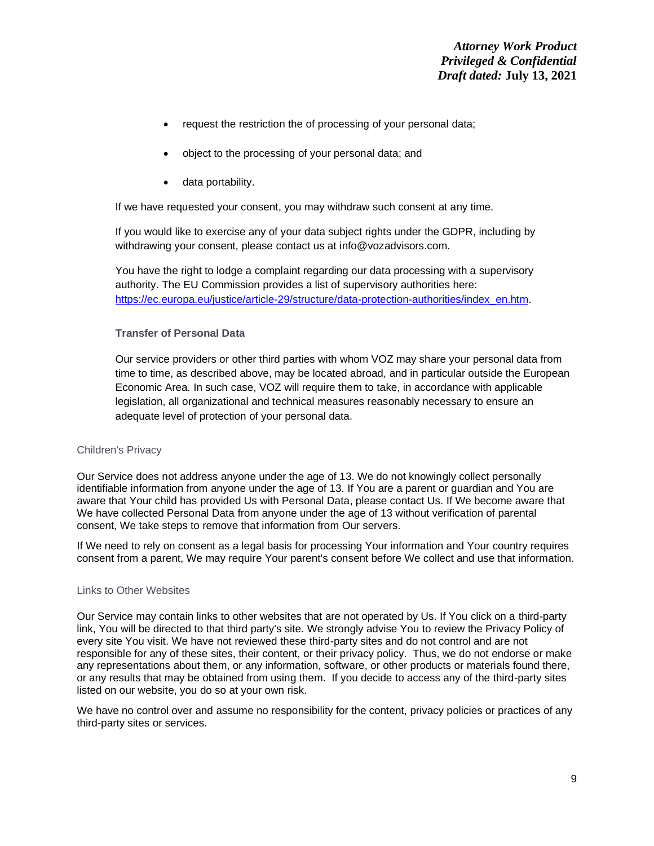- request the restriction the of processing of your personal data;
- object to the processing of your personal data; and
- data portability.

If we have requested your consent, you may withdraw such consent at any time.

If you would like to exercise any of your data subject rights under the GDPR, including by withdrawing your consent, please contact us at info@vozadvisors.com.

You have the right to lodge a complaint regarding our data processing with a supervisory authority. The EU Commission provides a list of supervisory authorities here: [https://ec.europa.eu/justice/article-29/structure/data-protection-authorities/index\\_en.htm.](https://ec.europa.eu/justice/article-29/structure/data-protection-authorities/index_en.htm)

## **Transfer of Personal Data**

Our service providers or other third parties with whom VOZ may share your personal data from time to time, as described above, may be located abroad, and in particular outside the European Economic Area. In such case, VOZ will require them to take, in accordance with applicable legislation, all organizational and technical measures reasonably necessary to ensure an adequate level of protection of your personal data.

## Children's Privacy

Our Service does not address anyone under the age of 13. We do not knowingly collect personally identifiable information from anyone under the age of 13. If You are a parent or guardian and You are aware that Your child has provided Us with Personal Data, please contact Us. If We become aware that We have collected Personal Data from anyone under the age of 13 without verification of parental consent, We take steps to remove that information from Our servers.

If We need to rely on consent as a legal basis for processing Your information and Your country requires consent from a parent, We may require Your parent's consent before We collect and use that information.

## Links to Other Websites

Our Service may contain links to other websites that are not operated by Us. If You click on a third-party link, You will be directed to that third party's site. We strongly advise You to review the Privacy Policy of every site You visit. We have not reviewed these third-party sites and do not control and are not responsible for any of these sites, their content, or their privacy policy. Thus, we do not endorse or make any representations about them, or any information, software, or other products or materials found there, or any results that may be obtained from using them. If you decide to access any of the third-party sites listed on our website, you do so at your own risk.

We have no control over and assume no responsibility for the content, privacy policies or practices of any third-party sites or services.